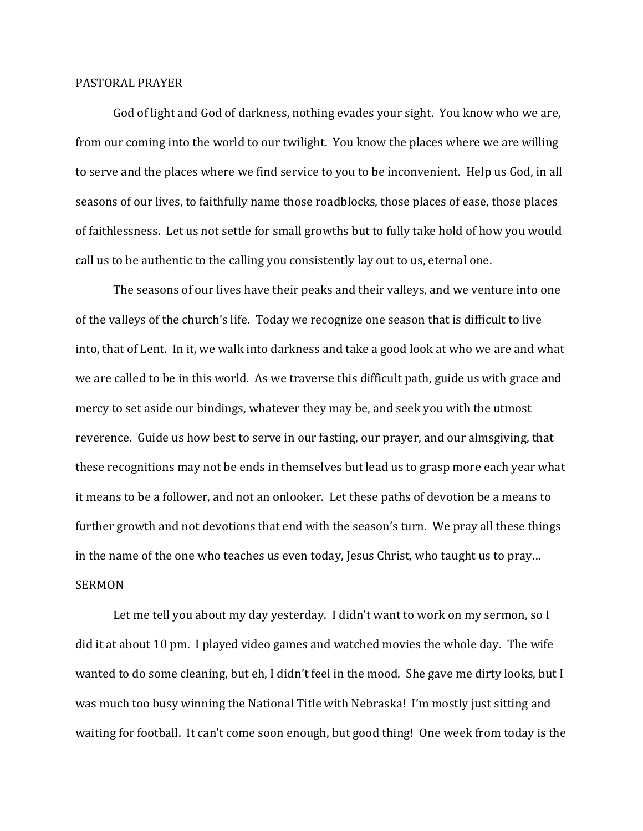## PASTORAL PRAYER

 God of light and God of darkness, nothing evades your sight. You know who we are, from our coming into the world to our twilight. You know the places where we are willing to serve and the places where we find service to you to be inconvenient. Help us God, in all seasons of our lives, to faithfully name those roadblocks, those places of ease, those places of faithlessness. Let us not settle for small growths but to fully take hold of how you would call us to be authentic to the calling you consistently lay out to us, eternal one.

 The seasons of our lives have their peaks and their valleys, and we venture into one of the valleys of the church's life. Today we recognize one season that is difficult to live into, that of Lent. In it, we walk into darkness and take a good look at who we are and what we are called to be in this world. As we traverse this difficult path, guide us with grace and mercy to set aside our bindings, whatever they may be, and seek you with the utmost reverence. Guide us how best to serve in our fasting, our prayer, and our almsgiving, that these recognitions may not be ends in themselves but lead us to grasp more each year what it means to be a follower, and not an onlooker. Let these paths of devotion be a means to further growth and not devotions that end with the season's turn. We pray all these things in the name of the one who teaches us even today, Jesus Christ, who taught us to pray… **SERMON** 

 Let me tell you about my day yesterday. I didn't want to work on my sermon, so I did it at about 10 pm. I played video games and watched movies the whole day. The wife wanted to do some cleaning, but eh, I didn't feel in the mood. She gave me dirty looks, but I was much too busy winning the National Title with Nebraska! I'm mostly just sitting and waiting for football. It can't come soon enough, but good thing! One week from today is the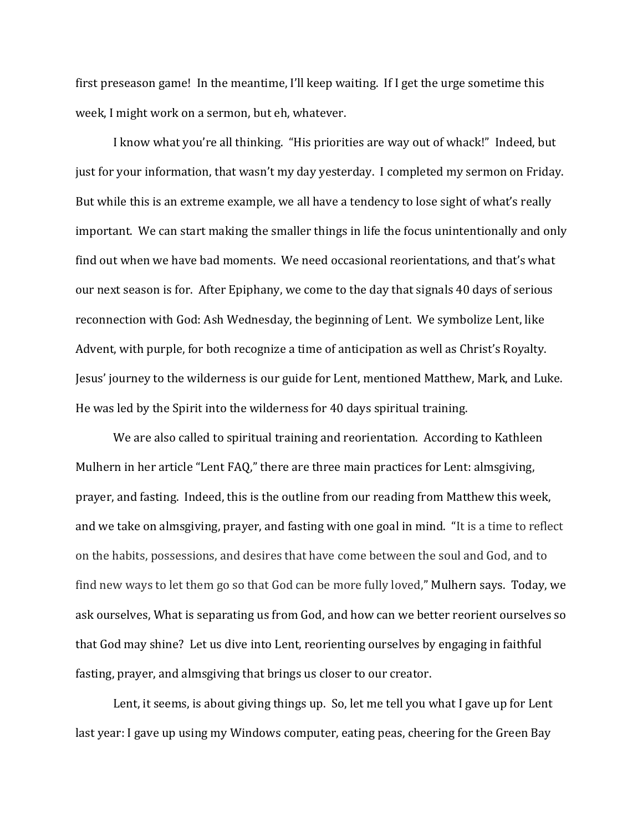first preseason game! In the meantime, I'll keep waiting. If I get the urge sometime this week, I might work on a sermon, but eh, whatever.

 I know what you're all thinking. "His priorities are way out of whack!" Indeed, but just for your information, that wasn't my day yesterday. I completed my sermon on Friday. But while this is an extreme example, we all have a tendency to lose sight of what's really important. We can start making the smaller things in life the focus unintentionally and only find out when we have bad moments. We need occasional reorientations, and that's what our next season is for. After Epiphany, we come to the day that signals 40 days of serious reconnection with God: Ash Wednesday, the beginning of Lent. We symbolize Lent, like Advent, with purple, for both recognize a time of anticipation as well as Christ's Royalty. Jesus' journey to the wilderness is our guide for Lent, mentioned Matthew, Mark, and Luke. He was led by the Spirit into the wilderness for 40 days spiritual training.

We are also called to spiritual training and reorientation. According to Kathleen Mulhern in her article "Lent FAQ," there are three main practices for Lent: almsgiving, prayer, and fasting. Indeed, this is the outline from our reading from Matthew this week, and we take on almsgiving, prayer, and fasting with one goal in mind. "It is a time to reflect on the habits, possessions, and desires that have come between the soul and God, and to find new ways to let them go so that God can be more fully loved," Mulhern says. Today, we ask ourselves, What is separating us from God, and how can we better reorient ourselves so that God may shine? Let us dive into Lent, reorienting ourselves by engaging in faithful fasting, prayer, and almsgiving that brings us closer to our creator.

 Lent, it seems, is about giving things up. So, let me tell you what I gave up for Lent last year: I gave up using my Windows computer, eating peas, cheering for the Green Bay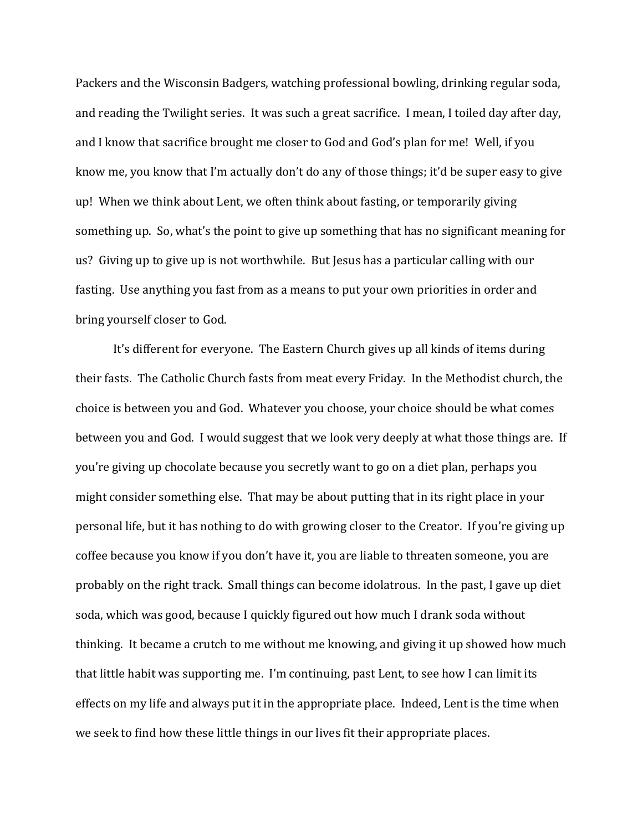Packers and the Wisconsin Badgers, watching professional bowling, drinking regular soda, and reading the Twilight series. It was such a great sacrifice. I mean, I toiled day after day, and I know that sacrifice brought me closer to God and God's plan for me! Well, if you know me, you know that I'm actually don't do any of those things; it'd be super easy to give up! When we think about Lent, we often think about fasting, or temporarily giving something up. So, what's the point to give up something that has no significant meaning for us? Giving up to give up is not worthwhile. But Jesus has a particular calling with our fasting. Use anything you fast from as a means to put your own priorities in order and bring yourself closer to God.

 It's different for everyone. The Eastern Church gives up all kinds of items during their fasts. The Catholic Church fasts from meat every Friday. In the Methodist church, the choice is between you and God. Whatever you choose, your choice should be what comes between you and God. I would suggest that we look very deeply at what those things are. If you're giving up chocolate because you secretly want to go on a diet plan, perhaps you might consider something else. That may be about putting that in its right place in your personal life, but it has nothing to do with growing closer to the Creator. If you're giving up coffee because you know if you don't have it, you are liable to threaten someone, you are probably on the right track. Small things can become idolatrous. In the past, I gave up diet soda, which was good, because I quickly figured out how much I drank soda without thinking. It became a crutch to me without me knowing, and giving it up showed how much that little habit was supporting me. I'm continuing, past Lent, to see how I can limit its effects on my life and always put it in the appropriate place. Indeed, Lent is the time when we seek to find how these little things in our lives fit their appropriate places.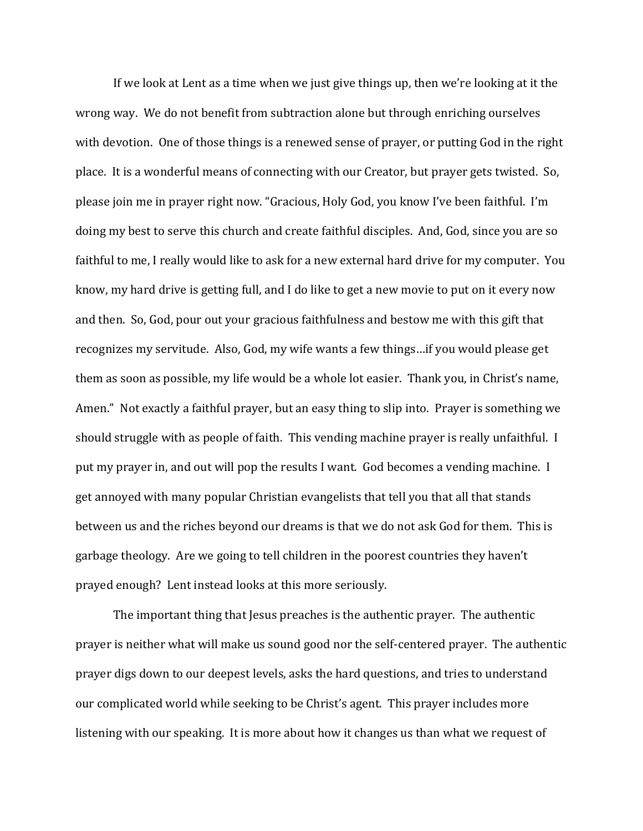If we look at Lent as a time when we just give things up, then we're looking at it the wrong way. We do not benefit from subtraction alone but through enriching ourselves with devotion. One of those things is a renewed sense of prayer, or putting God in the right place. It is a wonderful means of connecting with our Creator, but prayer gets twisted. So, please join me in prayer right now. "Gracious, Holy God, you know I've been faithful. I'm doing my best to serve this church and create faithful disciples. And, God, since you are so faithful to me, I really would like to ask for a new external hard drive for my computer. You know, my hard drive is getting full, and I do like to get a new movie to put on it every now and then. So, God, pour out your gracious faithfulness and bestow me with this gift that recognizes my servitude. Also, God, my wife wants a few things…if you would please get them as soon as possible, my life would be a whole lot easier. Thank you, in Christ's name, Amen." Not exactly a faithful prayer, but an easy thing to slip into. Prayer is something we should struggle with as people of faith. This vending machine prayer is really unfaithful. I put my prayer in, and out will pop the results I want. God becomes a vending machine. I get annoyed with many popular Christian evangelists that tell you that all that stands between us and the riches beyond our dreams is that we do not ask God for them. This is garbage theology. Are we going to tell children in the poorest countries they haven't prayed enough? Lent instead looks at this more seriously.

The important thing that Jesus preaches is the authentic prayer. The authentic prayer is neither what will make us sound good nor the self-centered prayer. The authentic prayer digs down to our deepest levels, asks the hard questions, and tries to understand our complicated world while seeking to be Christ's agent. This prayer includes more listening with our speaking. It is more about how it changes us than what we request of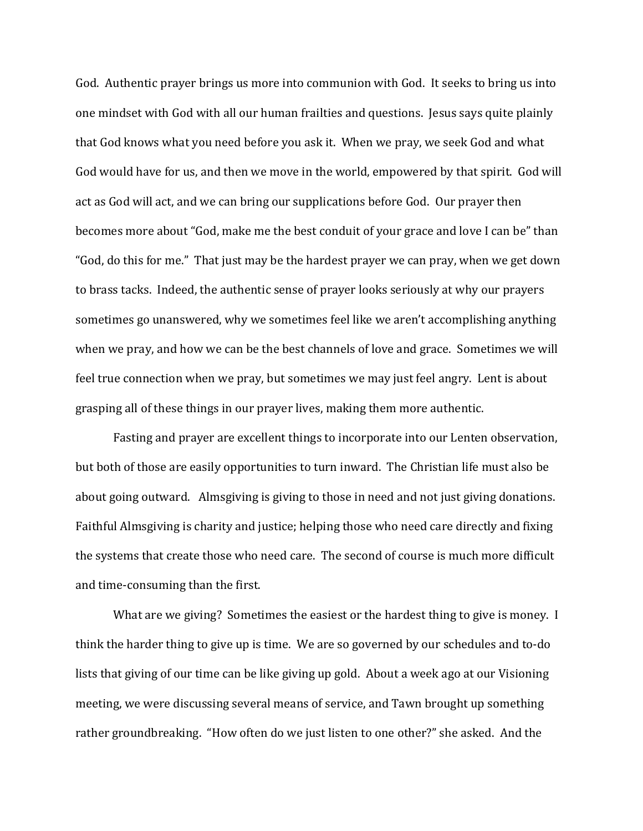God. Authentic prayer brings us more into communion with God. It seeks to bring us into one mindset with God with all our human frailties and questions. Jesus says quite plainly that God knows what you need before you ask it. When we pray, we seek God and what God would have for us, and then we move in the world, empowered by that spirit. God will act as God will act, and we can bring our supplications before God. Our prayer then becomes more about "God, make me the best conduit of your grace and love I can be" than "God, do this for me." That just may be the hardest prayer we can pray, when we get down to brass tacks. Indeed, the authentic sense of prayer looks seriously at why our prayers sometimes go unanswered, why we sometimes feel like we aren't accomplishing anything when we pray, and how we can be the best channels of love and grace. Sometimes we will feel true connection when we pray, but sometimes we may just feel angry. Lent is about grasping all of these things in our prayer lives, making them more authentic.

 Fasting and prayer are excellent things to incorporate into our Lenten observation, but both of those are easily opportunities to turn inward. The Christian life must also be about going outward. Almsgiving is giving to those in need and not just giving donations. Faithful Almsgiving is charity and justice; helping those who need care directly and fixing the systems that create those who need care. The second of course is much more difficult and time-consuming than the first.

 What are we giving? Sometimes the easiest or the hardest thing to give is money. I think the harder thing to give up is time. We are so governed by our schedules and to-do lists that giving of our time can be like giving up gold. About a week ago at our Visioning meeting, we were discussing several means of service, and Tawn brought up something rather groundbreaking. "How often do we just listen to one other?" she asked. And the